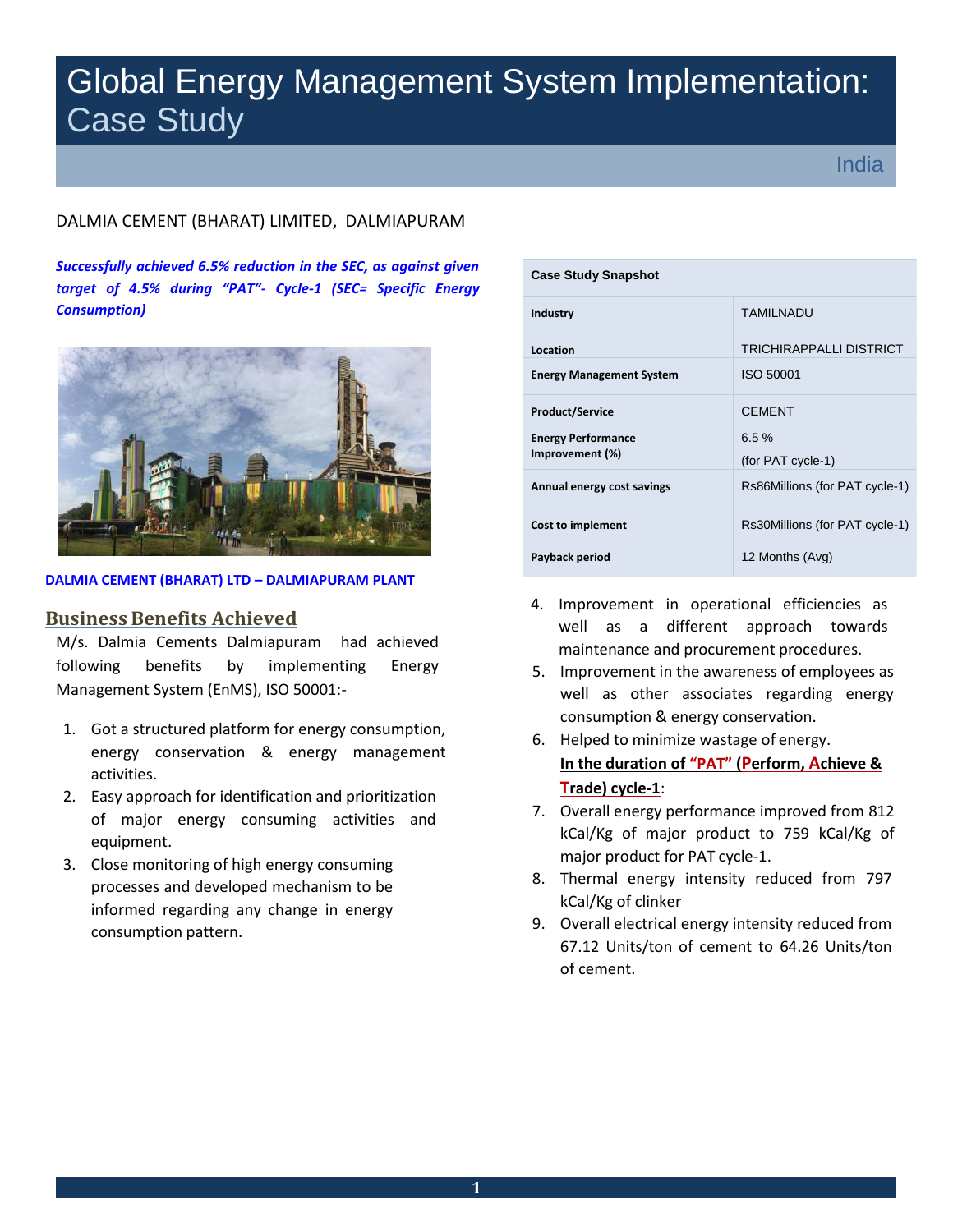# Global Energy Management System Implementation: Case Study

# DALMIA CEMENT (BHARAT) LIMITED, DALMIAPURAM

*Successfully achieved 6.5% reduction in the SEC, as against given target of 4.5% during "PAT"- Cycle-1 (SEC= Specific Energy Consumption)*



**DALMIA CEMENT (BHARAT) LTD – DALMIAPURAM PLANT**

# **Business Benefits Achieved**

M/s. Dalmia Cements Dalmiapuram had achieved following benefits by implementing Energy Management System (EnMS), ISO 50001:-

- 1. Got a structured platform for energy consumption, energy conservation & energy management activities.
- 2. Easy approach for identification and prioritization of major energy consuming activities and equipment.
- 3. Close monitoring of high energy consuming processes and developed mechanism to be informed regarding any change in energy consumption pattern.

| <b>Case Study Snapshot</b>                   |                                |  |
|----------------------------------------------|--------------------------------|--|
| Industry                                     | <b>TAMILNADU</b>               |  |
| Location                                     | <b>TRICHIRAPPALLI DISTRICT</b> |  |
| <b>Energy Management System</b>              | <b>ISO 50001</b>               |  |
| <b>Product/Service</b>                       | <b>CEMENT</b>                  |  |
| <b>Energy Performance</b><br>Improvement (%) | 6.5%<br>(for PAT cycle-1)      |  |
| Annual energy cost savings                   | Rs86Millions (for PAT cycle-1) |  |
| Cost to implement                            | Rs30Millions (for PAT cycle-1) |  |
| Payback period                               | 12 Months (Avg)                |  |

- 4. Improvement in operational efficiencies as well as a different approach towards maintenance and procurement procedures.
- 5. Improvement in the awareness of employees as well as other associates regarding energy consumption & energy conservation.
- 6. Helped to minimize wastage of energy. **In the duration of "PAT" (Perform, Achieve & Trade) cycle-1**:
- 7. Overall energy performance improved from 812 kCal/Kg of major product to 759 kCal/Kg of major product for PAT cycle-1.
- 8. Thermal energy intensity reduced from 797 kCal/Kg of clinker
- 9. Overall electrical energy intensity reduced from 67.12 Units/ton of cement to 64.26 Units/ton of cement.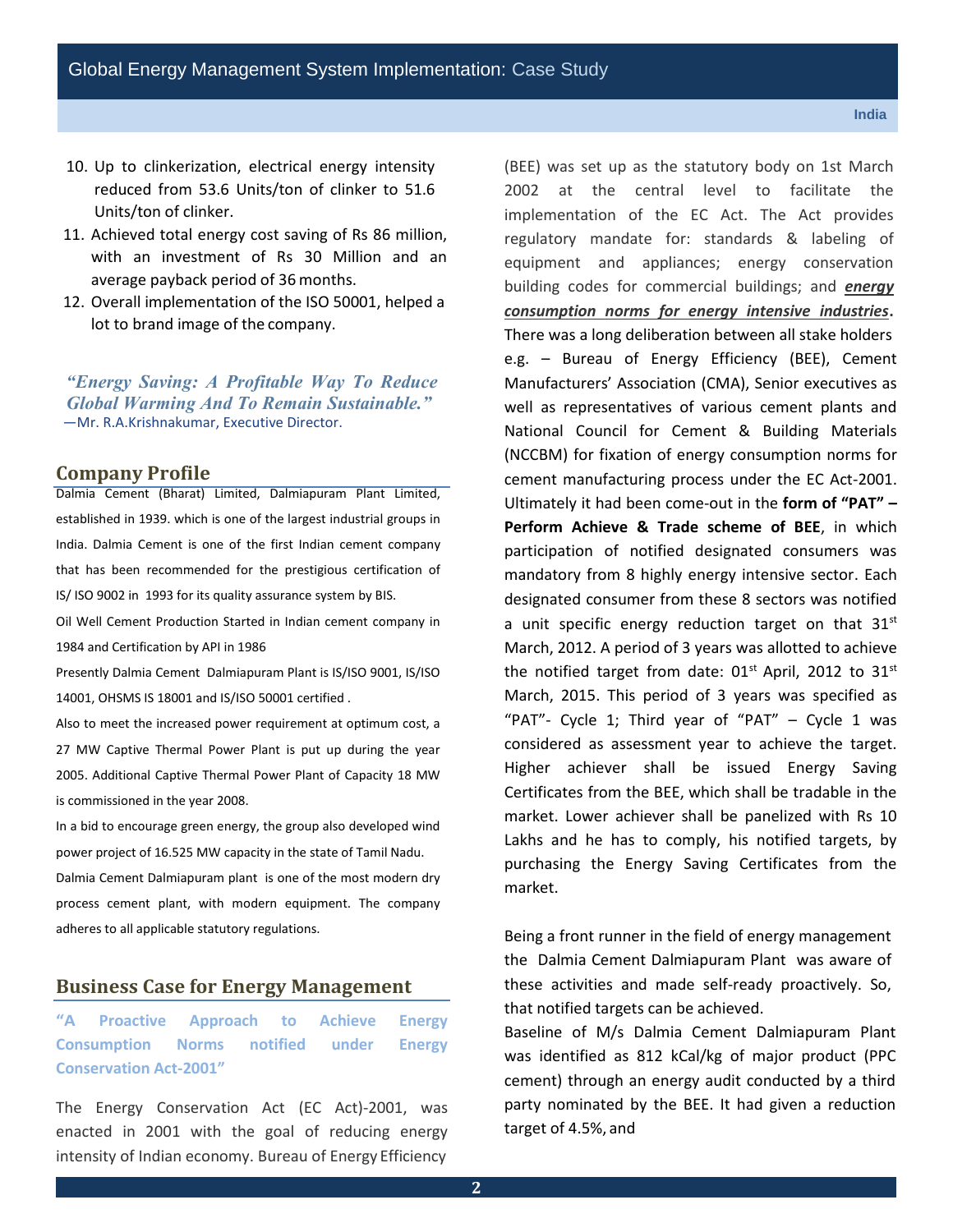- 10. Up to clinkerization, electrical energy intensity reduced from 53.6 Units/ton of clinker to 51.6 Units/ton of clinker.
- 11. Achieved total energy cost saving of Rs 86 million, with an investment of Rs 30 Million and an average payback period of 36 months.
- 12. Overall implementation of the ISO 50001, helped a lot to brand image of the company.

*"Energy Saving: A Profitable Way To Reduce Global Warming And To Remain Sustainable."* —Mr. R.A.Krishnakumar, Executive Director.

#### **Company Profile**

Dalmia Cement (Bharat) Limited, Dalmiapuram Plant Limited, established in 1939. which is one of the largest industrial groups in India. Dalmia Cement is one of the first Indian cement company that has been recommended for the prestigious certification of IS/ ISO 9002 in 1993 for its quality assurance system by BIS.

Oil Well Cement Production Started in Indian cement company in 1984 and Certification by API in 1986

Presently Dalmia Cement Dalmiapuram Plant is IS/ISO 9001, IS/ISO 14001, OHSMS IS 18001 and IS/ISO 50001 certified .

Also to meet the increased power requirement at optimum cost, a 27 MW Captive Thermal Power Plant is put up during the year 2005. Additional Captive Thermal Power Plant of Capacity 18 MW is commissioned in the year 2008.

In a bid to encourage green energy, the group also developed wind power project of 16.525 MW capacity in the state of Tamil Nadu. Dalmia Cement Dalmiapuram plant is one of the most modern dry process cement plant, with modern equipment. The company adheres to all applicable statutory regulations.

## **Business Case for Energy Management**

**"A Proactive Approach to Achieve Energy Consumption Norms notified under Energy Conservation Act-2001"**

The Energy Conservation Act (EC Act)-2001, was enacted in 2001 with the goal of reducing energy intensity of Indian economy. Bureau of Energy Efficiency

(BEE) was set up as the statutory body on 1st March 2002 at the central level to facilitate the implementation of the EC Act. The Act provides regulatory mandate for: standards & labeling of equipment and appliances; energy conservation building codes for commercial buildings; and *energy consumption norms for energy intensive industries***.**  There was a long deliberation between all stake holders e.g. – Bureau of Energy Efficiency (BEE), Cement Manufacturers' Association (CMA), Senior executives as well as representatives of various cement plants and National Council for Cement & Building Materials (NCCBM) for fixation of energy consumption norms for cement manufacturing process under the EC Act-2001. Ultimately it had been come-out in the **form of "PAT" – Perform Achieve & Trade scheme of BEE**, in which participation of notified designated consumers was mandatory from 8 highly energy intensive sector. Each designated consumer from these 8 sectors was notified a unit specific energy reduction target on that  $31^{st}$ March, 2012. A period of 3 years was allotted to achieve the notified target from date:  $01<sup>st</sup>$  April, 2012 to  $31<sup>st</sup>$ March, 2015. This period of 3 years was specified as "PAT"- Cycle 1; Third year of "PAT"  $-$  Cycle 1 was considered as assessment year to achieve the target. Higher achiever shall be issued Energy Saving Certificates from the BEE, which shall be tradable in the market. Lower achiever shall be panelized with Rs 10 Lakhs and he has to comply, his notified targets, by purchasing the Energy Saving Certificates from the market.

Being a front runner in the field of energy management the Dalmia Cement Dalmiapuram Plant was aware of these activities and made self-ready proactively. So, that notified targets can be achieved.

Baseline of M/s Dalmia Cement Dalmiapuram Plant was identified as 812 kCal/kg of major product (PPC cement) through an energy audit conducted by a third party nominated by the BEE. It had given a reduction target of 4.5%, and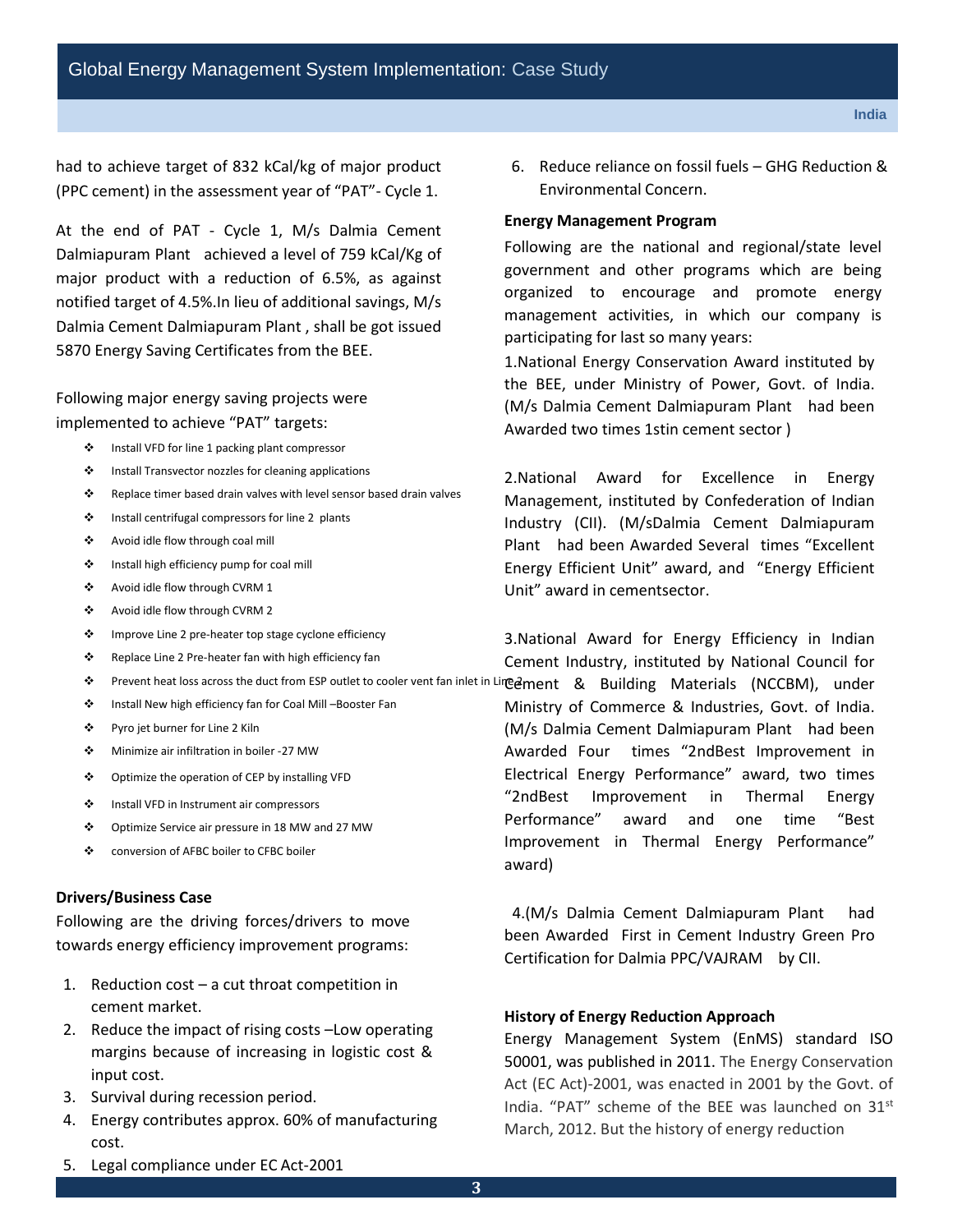had to achieve target of 832 kCal/kg of major product (PPC cement) in the assessment year of "PAT"- Cycle 1.

At the end of PAT - Cycle 1, M/s Dalmia Cement Dalmiapuram Plant achieved a level of 759 kCal/Kg of major product with a reduction of 6.5%, as against notified target of 4.5%.In lieu of additional savings, M/s Dalmia Cement Dalmiapuram Plant , shall be got issued 5870 Energy Saving Certificates from the BEE.

Following major energy saving projects were implemented to achieve "PAT" targets:

- Install VFD for line 1 packing plant compressor
- Install Transvector nozzles for cleaning applications
- \* Replace timer based drain valves with level sensor based drain valves
- $\div$  Install centrifugal compressors for line 2 plants
- Avoid idle flow through coal mill
- Install high efficiency pump for coal mill
- Avoid idle flow through CVRM 1
- Avoid idle flow through CVRM 2
- \* Improve Line 2 pre-heater top stage cyclone efficiency
- Replace Line 2 Pre-heater fan with high efficiency fan
- 
- Install New high efficiency fan for Coal Mill –Booster Fan
- Pyro jet burner for Line 2 Kiln
- Minimize air infiltration in boiler -27 MW
- Optimize the operation of CEP by installing VFD
- Install VFD in Instrument air compressors
- Optimize Service air pressure in 18 MW and 27 MW
- conversion of AFBC boiler to CFBC boiler

## **Drivers/Business Case**

Following are the driving forces/drivers to move towards energy efficiency improvement programs:

- 1. Reduction cost a cut throat competition in cement market.
- 2. Reduce the impact of rising costs –Low operating margins because of increasing in logistic cost & input cost.
- 3. Survival during recession period.
- 4. Energy contributes approx. 60% of manufacturing cost.

6. Reduce reliance on fossil fuels – GHG Reduction & Environmental Concern.

#### **Energy Management Program**

Following are the national and regional/state level government and other programs which are being organized to encourage and promote energy management activities, in which our company is participating for last so many years:

1.National Energy Conservation Award instituted by the BEE, under Ministry of Power, Govt. of India. (M/s Dalmia Cement Dalmiapuram Plant had been Awarded two times 1stin cement sector )

2.National Award for Excellence in Energy Management, instituted by Confederation of Indian Industry (CII). (M/sDalmia Cement Dalmiapuram Plant had been Awarded Several times "Excellent Energy Efficient Unit" award, and "Energy Efficient Unit" award in cementsector.

◆ Prevent heat loss across the duct from ESP outlet to cooler vent fan inlet in Lir@ement & Building Materials (NCCBM), under 3.National Award for Energy Efficiency in Indian Cement Industry, instituted by National Council for Ministry of Commerce & Industries, Govt. of India. (M/s Dalmia Cement Dalmiapuram Plant had been Awarded Four times "2ndBest Improvement in Electrical Energy Performance" award, two times "2ndBest Improvement in Thermal Energy Performance" award and one time "Best Improvement in Thermal Energy Performance" award)

> 4.(M/s Dalmia Cement Dalmiapuram Plant had been Awarded First in Cement Industry Green Pro Certification for Dalmia PPC/VAJRAM by CII.

## **History of Energy Reduction Approach**

Energy Management System (EnMS) standard ISO 50001, was published in 2011. The Energy Conservation Act (EC Act)-2001, was enacted in 2001 by the Govt. of India. "PAT" scheme of the BEE was launched on  $31^{st}$ March, 2012. But the history of energy reduction

5. Legal compliance under EC Act-2001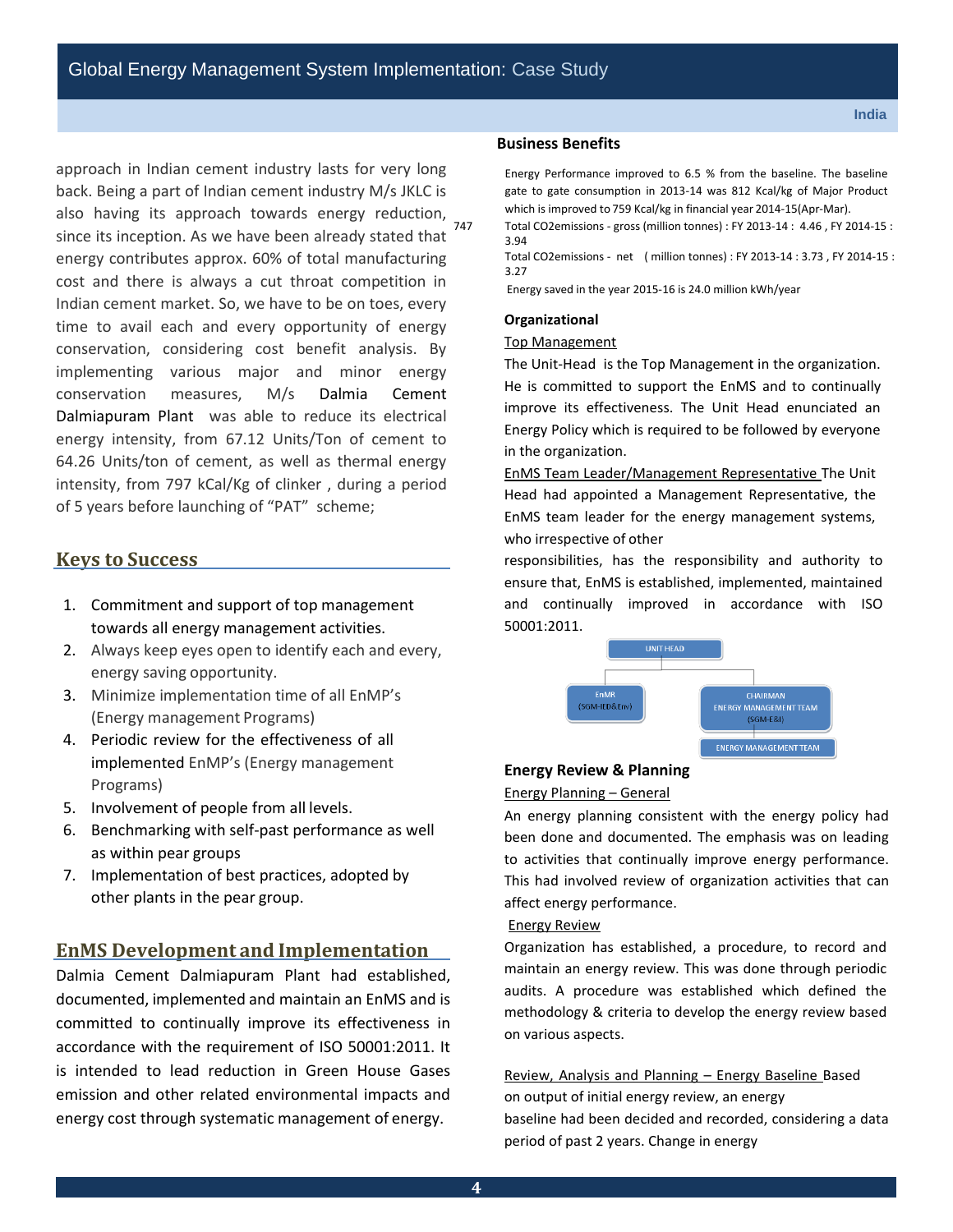approach in Indian cement industry lasts for very long back. Being a part of Indian cement industry M/s JKLC is also having its approach towards energy reduction,  $\frac{1}{747}$ since its inception. As we have been already stated that energy contributes approx. 60% of total manufacturing cost and there is always a cut throat competition in Indian cement market. So, we have to be on toes, every time to avail each and every opportunity of energy conservation, considering cost benefit analysis. By implementing various major and minor energy conservation measures, M/s Dalmia Cement Dalmiapuram Plant was able to reduce its electrical energy intensity, from 67.12 Units/Ton of cement to 64.26 Units/ton of cement, as well as thermal energy intensity, from 797 kCal/Kg of clinker , during a period of 5 years before launching of "PAT" scheme;

# **Keys to Success**

- 1. Commitment and support of top management towards all energy management activities.
- 2. Always keep eyes open to identify each and every, energy saving opportunity.
- 3. Minimize implementation time of all EnMP's (Energy management Programs)
- 4. Periodic review for the effectiveness of all implemented EnMP's (Energy management Programs)
- 5. Involvement of people from all levels.
- 6. Benchmarking with self-past performance as well as within pear groups
- 7. Implementation of best practices, adopted by other plants in the pear group.

# **EnMS Development and Implementation**

Dalmia Cement Dalmiapuram Plant had established, documented, implemented and maintain an EnMS and is committed to continually improve its effectiveness in accordance with the requirement of ISO 50001:2011. It is intended to lead reduction in Green House Gases emission and other related environmental impacts and energy cost through systematic management of energy.

#### **Business Benefits**

Energy Performance improved to 6.5 % from the baseline. The baseline gate to gate consumption in 2013-14 was 812 Kcal/kg of Major Product which is improved to 759 Kcal/kg in financial year 2014-15(Apr-Mar).

747 Total CO2emissions - gross (million tonnes) : FY 2013-14 : 4.46 , FY 2014-15 : 3.94

Total CO2emissions - net ( million tonnes) : FY 2013-14 : 3.73 , FY 2014-15 : 3.27

Energy saved in the year 2015-16 is 24.0 million kWh/year

#### **Organizational**

#### Top Management

The Unit-Head is the Top Management in the organization. He is committed to support the EnMS and to continually improve its effectiveness. The Unit Head enunciated an Energy Policy which is required to be followed by everyone in the organization.

EnMS Team Leader/Management Representative The Unit Head had appointed a Management Representative, the EnMS team leader for the energy management systems, who irrespective of other

responsibilities, has the responsibility and authority to ensure that, EnMS is established, implemented, maintained and continually improved in accordance with ISO 50001:2011.



#### **Energy Review & Planning**

#### Energy Planning – General

An energy planning consistent with the energy policy had been done and documented. The emphasis was on leading to activities that continually improve energy performance. This had involved review of organization activities that can affect energy performance.

#### Energy Review

Organization has established, a procedure, to record and maintain an energy review. This was done through periodic audits. A procedure was established which defined the methodology & criteria to develop the energy review based on various aspects.

Review, Analysis and Planning – Energy Baseline Based on output of initial energy review, an energy baseline had been decided and recorded, considering a data period of past 2 years. Change in energy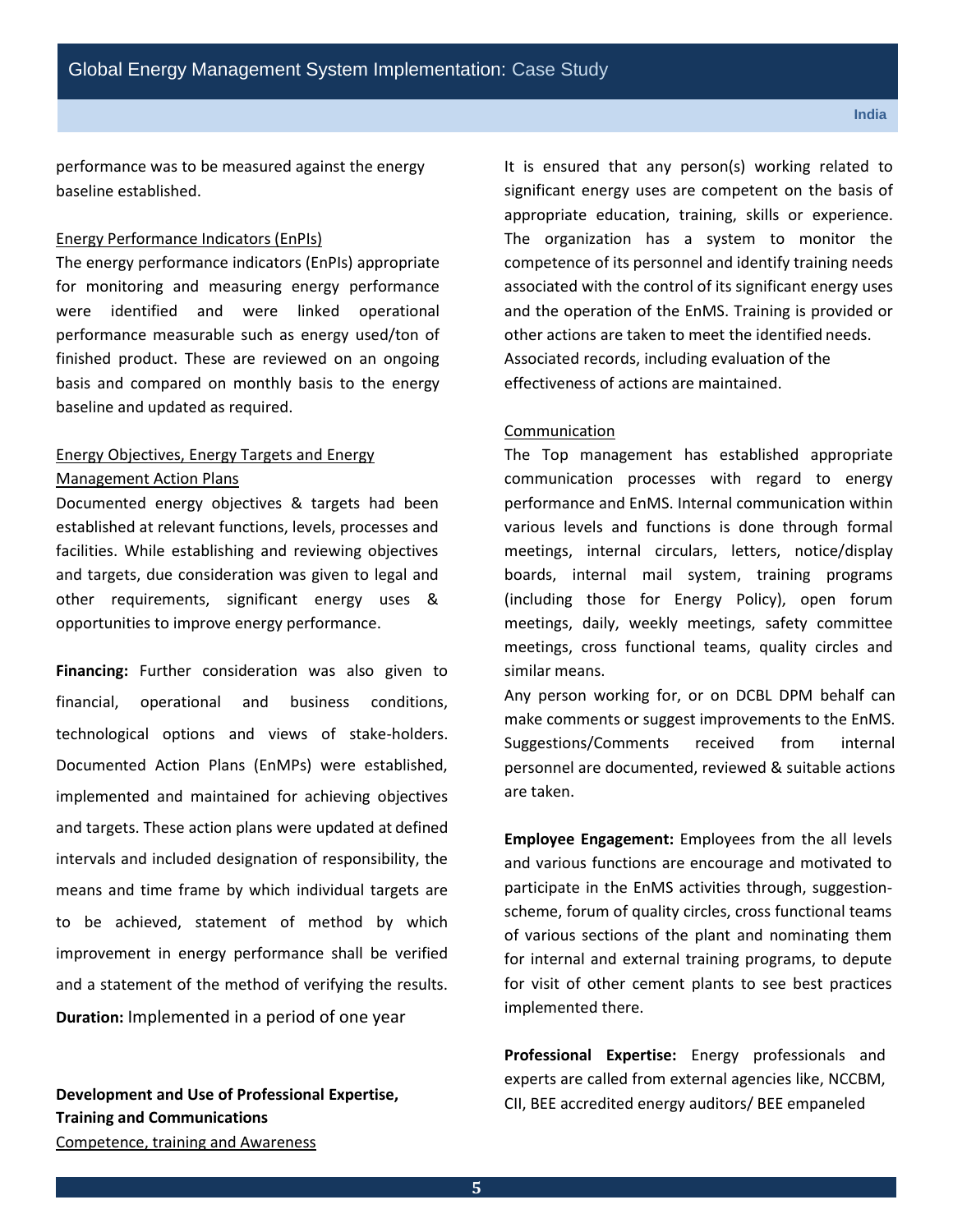performance was to be measured against the energy baseline established.

## Energy Performance Indicators (EnPIs)

The energy performance indicators (EnPIs) appropriate for monitoring and measuring energy performance were identified and were linked operational performance measurable such as energy used/ton of finished product. These are reviewed on an ongoing basis and compared on monthly basis to the energy baseline and updated as required.

# Energy Objectives, Energy Targets and Energy Management Action Plans

Documented energy objectives & targets had been established at relevant functions, levels, processes and facilities. While establishing and reviewing objectives and targets, due consideration was given to legal and other requirements, significant energy uses & opportunities to improve energy performance.

**Financing:** Further consideration was also given to financial, operational and business conditions, technological options and views of stake-holders. Documented Action Plans (EnMPs) were established, implemented and maintained for achieving objectives and targets. These action plans were updated at defined intervals and included designation of responsibility, the means and time frame by which individual targets are to be achieved, statement of method by which improvement in energy performance shall be verified and a statement of the method of verifying the results. **Duration:** Implemented in a period of one year

**Development and Use of Professional Expertise, Training and Communications** Competence, training and Awareness

It is ensured that any person(s) working related to significant energy uses are competent on the basis of appropriate education, training, skills or experience. The organization has a system to monitor the competence of its personnel and identify training needs associated with the control of its significant energy uses and the operation of the EnMS. Training is provided or other actions are taken to meet the identified needs. Associated records, including evaluation of the effectiveness of actions are maintained.

#### Communication

The Top management has established appropriate communication processes with regard to energy performance and EnMS. Internal communication within various levels and functions is done through formal meetings, internal circulars, letters, notice/display boards, internal mail system, training programs (including those for Energy Policy), open forum meetings, daily, weekly meetings, safety committee meetings, cross functional teams, quality circles and similar means.

Any person working for, or on DCBL DPM behalf can make comments or suggest improvements to the EnMS. Suggestions/Comments received from internal personnel are documented, reviewed & suitable actions are taken.

**Employee Engagement:** Employees from the all levels and various functions are encourage and motivated to participate in the EnMS activities through, suggestionscheme, forum of quality circles, cross functional teams of various sections of the plant and nominating them for internal and external training programs, to depute for visit of other cement plants to see best practices implemented there.

**Professional Expertise:** Energy professionals and experts are called from external agencies like, NCCBM, CII, BEE accredited energy auditors/ BEE empaneled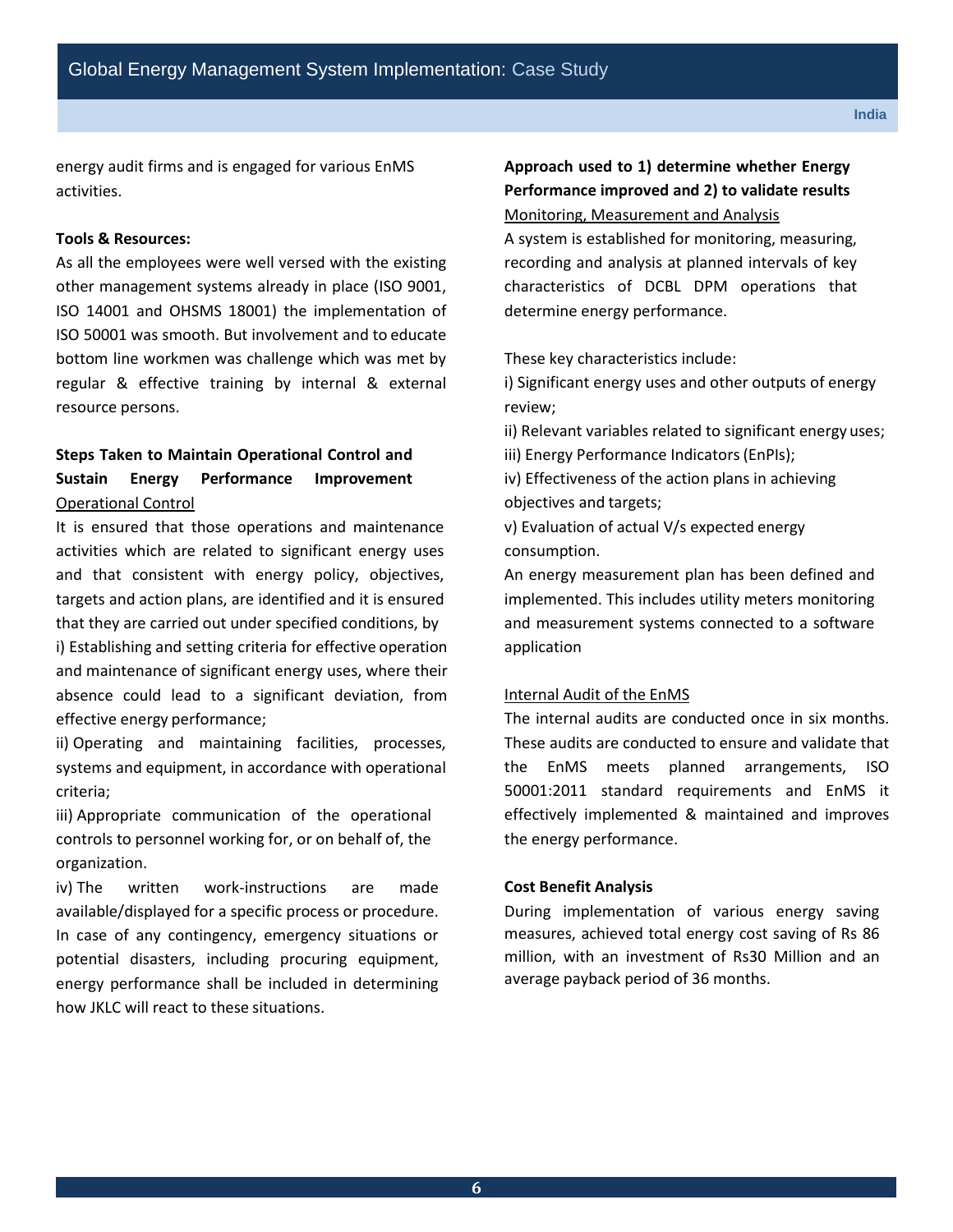energy audit firms and is engaged for various EnMS activities.

## **Tools & Resources:**

As all the employees were well versed with the existing other management systems already in place (ISO 9001, ISO 14001 and OHSMS 18001) the implementation of ISO 50001 was smooth. But involvement and to educate bottom line workmen was challenge which was met by regular & effective training by internal & external resource persons.

# **Steps Taken to Maintain Operational Control and Sustain Energy Performance Improvement** Operational Control

It is ensured that those operations and maintenance activities which are related to significant energy uses and that consistent with energy policy, objectives, targets and action plans, are identified and it is ensured that they are carried out under specified conditions, by i) Establishing and setting criteria for effective operation and maintenance of significant energy uses, where their absence could lead to a significant deviation, from effective energy performance;

ii) Operating and maintaining facilities, processes, systems and equipment, in accordance with operational criteria;

iii) Appropriate communication of the operational controls to personnel working for, or on behalf of, the organization.

iv) The written work-instructions are made available/displayed for a specific process or procedure. In case of any contingency, emergency situations or potential disasters, including procuring equipment, energy performance shall be included in determining how JKLC will react to these situations.

# **Approach used to 1) determine whether Energy Performance improved and 2) to validate results**  Monitoring, Measurement and Analysis

A system is established for monitoring, measuring, recording and analysis at planned intervals of key characteristics of DCBL DPM operations that determine energy performance.

These key characteristics include:

i) Significant energy uses and other outputs of energy review;

ii) Relevant variables related to significant energy uses;

iii) Energy Performance Indicators(EnPIs);

iv) Effectiveness of the action plans in achieving objectives and targets;

v) Evaluation of actual V/s expected energy consumption.

An energy measurement plan has been defined and implemented. This includes utility meters monitoring and measurement systems connected to a software application

## Internal Audit of the EnMS

The internal audits are conducted once in six months. These audits are conducted to ensure and validate that the EnMS meets planned arrangements, ISO 50001:2011 standard requirements and EnMS it effectively implemented & maintained and improves the energy performance.

## **Cost Benefit Analysis**

During implementation of various energy saving measures, achieved total energy cost saving of Rs 86 million, with an investment of Rs30 Million and an average payback period of 36 months.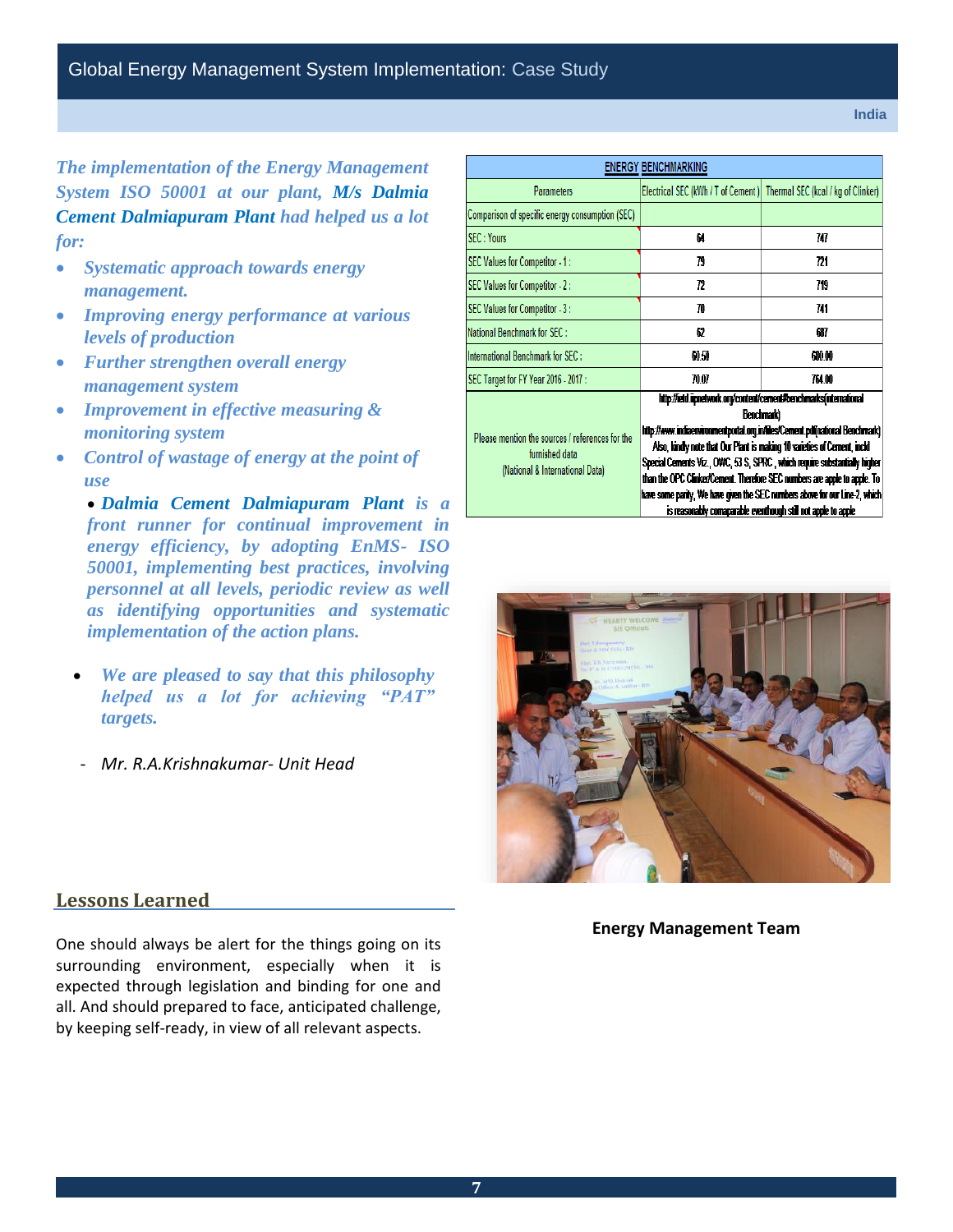**India**

*The implementation of the Energy Management System ISO 50001 at our plant, M/s Dalmia Cement Dalmiapuram Plant had helped us a lot for:*

- *Systematic approach towards energy management.*
- *Improving energy performance at various levels of production*
- *Further strengthen overall energy management system*
- *Improvement in effective measuring & monitoring system*
- *Control of wastage of energy at the point of use*

 *Dalmia Cement Dalmiapuram Plant is a front runner for continual improvement in energy efficiency, by adopting EnMS- ISO 50001, implementing best practices, involving personnel at all levels, periodic review as well as identifying opportunities and systematic implementation of the action plans.*

- *We are pleased to say that this philosophy helped us a lot for achieving "PAT" targets.*
- *Mr. R.A.Krishnakumar- Unit Head*

| <b>ENERVI DENVARININU</b>                                                                            |                                                                                                                                                                                                                                                                                                                                                                                                                                                                                                                                                          |        |  |
|------------------------------------------------------------------------------------------------------|----------------------------------------------------------------------------------------------------------------------------------------------------------------------------------------------------------------------------------------------------------------------------------------------------------------------------------------------------------------------------------------------------------------------------------------------------------------------------------------------------------------------------------------------------------|--------|--|
| <b>Parameters</b>                                                                                    | Electrical SEC (kWh / T of Cement ) Thermal SEC (kcal / kg of Clinker)                                                                                                                                                                                                                                                                                                                                                                                                                                                                                   |        |  |
| Comparison of specific energy consumption (SEC).                                                     |                                                                                                                                                                                                                                                                                                                                                                                                                                                                                                                                                          |        |  |
| <b>SEC: Yours</b>                                                                                    | 64                                                                                                                                                                                                                                                                                                                                                                                                                                                                                                                                                       | 747    |  |
| <b>SEC Values for Competitor - 1 :</b>                                                               | 79                                                                                                                                                                                                                                                                                                                                                                                                                                                                                                                                                       | 721    |  |
| <b>SEC Values for Competitor - 2 :</b>                                                               | 72                                                                                                                                                                                                                                                                                                                                                                                                                                                                                                                                                       | 719    |  |
| SEC Values for Competitor - 3 :                                                                      | 70                                                                                                                                                                                                                                                                                                                                                                                                                                                                                                                                                       | 741    |  |
| lational Benchmark for SEC :                                                                         | 62                                                                                                                                                                                                                                                                                                                                                                                                                                                                                                                                                       | 687    |  |
| nternational Benchmark for SEC :                                                                     | 60.50                                                                                                                                                                                                                                                                                                                                                                                                                                                                                                                                                    | 680.00 |  |
| SEC Target for FY Year 2016 - 2017 :                                                                 | 70.07                                                                                                                                                                                                                                                                                                                                                                                                                                                                                                                                                    | 764.00 |  |
| Please mention the sources / references for the<br>furnished data<br>(National & International Data) | http://ietd.iipnetwork.org/content/cement#benchmarks(international<br>Benchmark)<br>http://www.indiaenvironmentportal.org.in/liles/Cement.pdi(national Benchmark)<br>Also, kindly note that Our Plant is making 10 varieties of Cement, incld<br>Special Cements Viz., OWC, 53 S, SPRC, which require substantially higher<br>than the OPC Clinker/Cement. Therefore SEC numbers are apple to apple. To<br>have some parity. We have given the SEC numbers above for our Line-2, which<br>ie maennably comprensible quarthough etill not avele to avelo. |        |  |

**EUFROY REVOLUTIONAL** 



 **Energy Management Team** 

# **Lessons Learned**

One should always be alert for the things going on its surrounding environment, especially when it is expected through legislation and binding for one and all. And should prepared to face, anticipated challenge, by keeping self-ready, in view of all relevant aspects.